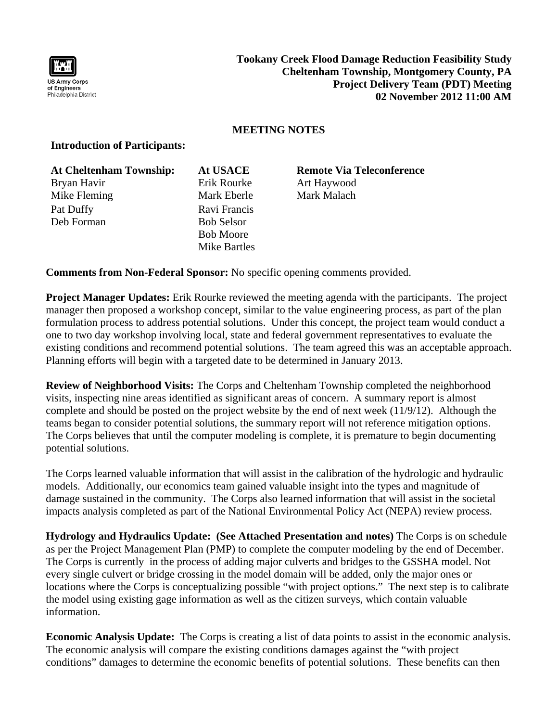

## **MEETING NOTES**

## **Introduction of Participants:**

| <b>At Cheltenham Township:</b> | <b>At USACE</b>   |
|--------------------------------|-------------------|
| Bryan Havir                    | Erik Rourke       |
| Mike Fleming                   | Mark Eberle       |
| Pat Duffy                      | Ravi Francis      |
| Deb Forman                     | <b>Bob Selsor</b> |
|                                | <b>Bob Moore</b>  |

**ACE** Remote Via Teleconference ourke Art Haywood Eberle Mark Malach

**Comments from Non-Federal Sponsor:** No specific opening comments provided.

Mike Bartles

**Project Manager Updates:** Erik Rourke reviewed the meeting agenda with the participants. The project manager then proposed a workshop concept, similar to the value engineering process, as part of the plan formulation process to address potential solutions. Under this concept, the project team would conduct a one to two day workshop involving local, state and federal government representatives to evaluate the existing conditions and recommend potential solutions. The team agreed this was an acceptable approach. Planning efforts will begin with a targeted date to be determined in January 2013.

**Review of Neighborhood Visits:** The Corps and Cheltenham Township completed the neighborhood visits, inspecting nine areas identified as significant areas of concern. A summary report is almost complete and should be posted on the project website by the end of next week (11/9/12). Although the teams began to consider potential solutions, the summary report will not reference mitigation options. The Corps believes that until the computer modeling is complete, it is premature to begin documenting potential solutions.

The Corps learned valuable information that will assist in the calibration of the hydrologic and hydraulic models. Additionally, our economics team gained valuable insight into the types and magnitude of damage sustained in the community. The Corps also learned information that will assist in the societal impacts analysis completed as part of the National Environmental Policy Act (NEPA) review process.

**Hydrology and Hydraulics Update: (See Attached Presentation and notes)** The Corps is on schedule as per the Project Management Plan (PMP) to complete the computer modeling by the end of December. The Corps is currently in the process of adding major culverts and bridges to the GSSHA model. Not every single culvert or bridge crossing in the model domain will be added, only the major ones or locations where the Corps is conceptualizing possible "with project options." The next step is to calibrate the model using existing gage information as well as the citizen surveys, which contain valuable information.

**Economic Analysis Update:** The Corps is creating a list of data points to assist in the economic analysis. The economic analysis will compare the existing conditions damages against the "with project conditions" damages to determine the economic benefits of potential solutions. These benefits can then